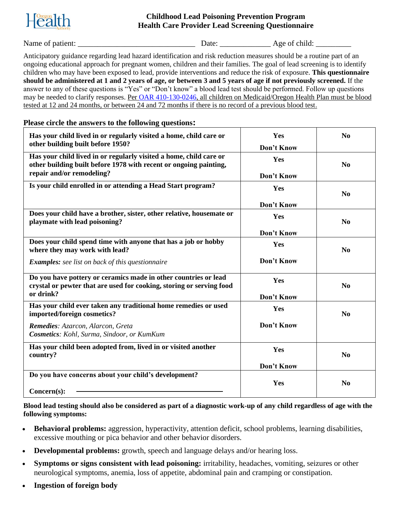

#### **Childhood Lead Poisoning Prevention Program Health Care Provider Lead Screening Questionnaire**

Name of patient: \_\_\_\_\_\_\_\_\_\_\_\_\_\_\_\_\_\_\_\_\_\_\_\_\_\_\_\_\_\_ Date: \_\_\_\_\_\_\_\_\_\_\_\_\_ Age of child: \_\_\_\_\_\_\_\_\_

Anticipatory guidance regarding lead hazard identification and risk reduction measures should be a routine part of an ongoing educational approach for pregnant women, children and their families. The goal of lead screening is to identify children who may have been exposed to lead, provide interventions and reduce the risk of exposure. **This questionnaire should be administered at 1 and 2 years of age, or between 3 and 5 years of age if not previously screened.** If the answer to any of these questions is "Yes" or "Don't know" a blood lead test should be performed. Follow up questions may be needed to clarify responses. Per [OAR 410-130-0246,](https://secure.sos.state.or.us/oard/view.action?ruleNumber=410-130-0246) all children on Medicaid/Oregon Health Plan must be blood tested at 12 and 24 months, or between 24 and 72 months if there is no record of a previous blood test.

### **Please circle the answers to the following questions:**

| Has your child lived in or regularly visited a home, child care or<br>other building built before 1950?                                 | Yes<br>Don't Know | $\bf No$       |
|-----------------------------------------------------------------------------------------------------------------------------------------|-------------------|----------------|
| Has your child lived in or regularly visited a home, child care or<br>other building built before 1978 with recent or ongoing painting, | Yes               | $\bf No$       |
| repair and/or remodeling?                                                                                                               | Don't Know        |                |
| Is your child enrolled in or attending a Head Start program?                                                                            | Yes               | N <sub>0</sub> |
|                                                                                                                                         | Don't Know        |                |
| Does your child have a brother, sister, other relative, housemate or<br>playmate with lead poisoning?                                   | Yes               | N <sub>0</sub> |
|                                                                                                                                         | Don't Know        |                |
| Does your child spend time with anyone that has a job or hobby<br>where they may work with lead?                                        | Yes               | No             |
| <b>Examples:</b> see list on back of this questionnaire                                                                                 | Don't Know        |                |
| Do you have pottery or ceramics made in other countries or lead<br>crystal or pewter that are used for cooking, storing or serving food | Yes               | N <sub>0</sub> |
| or drink?                                                                                                                               | Don't Know        |                |
| Has your child ever taken any traditional home remedies or used<br>imported/foreign cosmetics?                                          | Yes               | N <sub>0</sub> |
| Remedies: Azarcon, Alarcon, Greta<br><b>Cosmetics:</b> Kohl, Surma, Sindoor, or KumKum                                                  | Don't Know        |                |
| Has your child been adopted from, lived in or visited another<br>country?                                                               | Yes               | N <sub>0</sub> |
|                                                                                                                                         | Don't Know        |                |
| Do you have concerns about your child's development?                                                                                    |                   |                |
|                                                                                                                                         | Yes               | N <sub>0</sub> |
| $Concern(s)$ :                                                                                                                          |                   |                |

**Blood lead testing should also be considered as part of a diagnostic work-up of any child regardless of age with the following symptoms:**

- **Behavioral problems:** aggression, hyperactivity, attention deficit, school problems, learning disabilities, excessive mouthing or pica behavior and other behavior disorders.
- **Developmental problems:** growth, speech and language delays and/or hearing loss.
- **Symptoms or signs consistent with lead poisoning:** irritability, headaches, vomiting, seizures or other neurological symptoms, anemia, loss of appetite, abdominal pain and cramping or constipation.
- **Ingestion of foreign body**